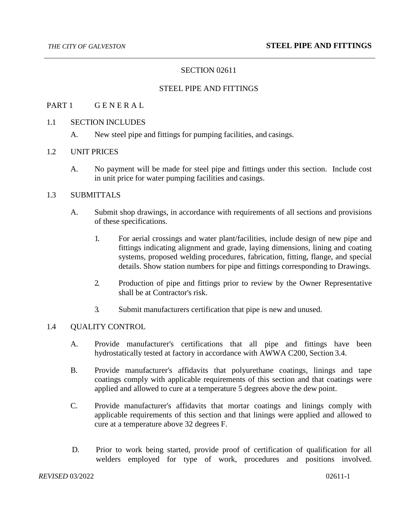# SECTION 02611

#### STEEL PIPE AND FITTINGS

### PART 1 GENERAL

#### 1.1 SECTION INCLUDES

A. New steel pipe and fittings for pumping facilities, and casings.

#### 1.2 UNIT PRICES

A. No payment will be made for steel pipe and fittings under this section. Include cost in unit price for water pumping facilities and casings.

## 1.3 SUBMITTALS

- A. Submit shop drawings, in accordance with requirements of all sections and provisions of these specifications.
	- 1. For aerial crossings and water plant/facilities, include design of new pipe and fittings indicating alignment and grade, laying dimensions, lining and coating systems, proposed welding procedures, fabrication, fitting, flange, and special details. Show station numbers for pipe and fittings corresponding to Drawings.
	- 2. Production of pipe and fittings prior to review by the Owner Representative shall be at Contractor's risk.
	- 3. Submit manufacturers certification that pipe is new and unused.

#### 1.4 QUALITY CONTROL

- A. Provide manufacturer's certifications that all pipe and fittings have been hydrostatically tested at factory in accordance with AWWA C200, Section 3.4.
- B. Provide manufacturer's affidavits that polyurethane coatings, linings and tape coatings comply with applicable requirements of this section and that coatings were applied and allowed to cure at a temperature 5 degrees above the dew point.
- C. Provide manufacturer's affidavits that mortar coatings and linings comply with applicable requirements of this section and that linings were applied and allowed to cure at a temperature above 32 degrees F.
- D. Prior to work being started, provide proof of certification of qualification for all welders employed for type of work, procedures and positions involved.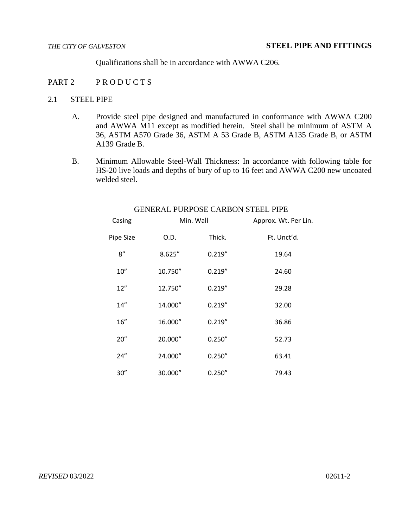Qualifications shall be in accordance with AWWA C206.

#### PART 2 PRODUCTS

# 2.1 STEEL PIPE

- A. Provide steel pipe designed and manufactured in conformance with AWWA C200 and AWWA M11 except as modified herein. Steel shall be minimum of ASTM A 36, ASTM A570 Grade 36, ASTM A 53 Grade B, ASTM A135 Grade B, or ASTM A139 Grade B.
- B. Minimum Allowable Steel-Wall Thickness: In accordance with following table for HS-20 live loads and depths of bury of up to 16 feet and AWWA C200 new uncoated welded steel.

| Casing    | Min. Wall |         | Approx. Wt. Per Lin. |
|-----------|-----------|---------|----------------------|
| Pipe Size | O.D.      | Thick.  | Ft. Unct'd.          |
| 8''       | 8.625"    | 0.219'' | 19.64                |
| 10''      | 10.750"   | 0.219'' | 24.60                |
| 12''      | 12.750"   | 0.219'' | 29.28                |
| 14''      | 14.000"   | 0.219'' | 32.00                |
| 16"       | 16.000"   | 0.219'' | 36.86                |
| 20"       | 20.000"   | 0.250'' | 52.73                |
| 24''      | 24.000"   | 0.250'' | 63.41                |
| 30"       | 30.000"   | 0.250'' | 79.43                |

# GENERAL PURPOSE CARBON STEEL PIPE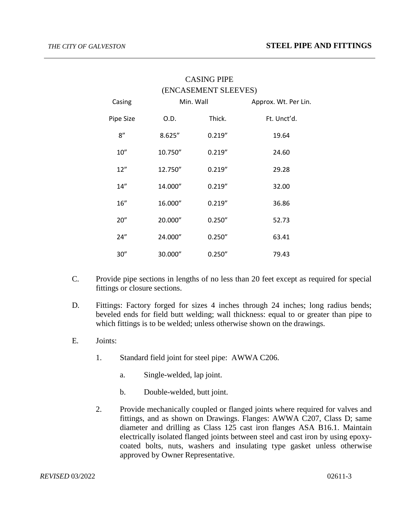| Casing    |         | (ENCASEMENT SLEEVES)<br>Min. Wall | Approx. Wt. Per Lin. |
|-----------|---------|-----------------------------------|----------------------|
| Pipe Size | O.D.    | Thick.                            | Ft. Unct'd.          |
| 8''       | 8.625'' | 0.219''                           | 19.64                |
| 10''      | 10.750" | 0.219''                           | 24.60                |
| 12"       | 12.750" | 0.219''                           | 29.28                |
| 14''      | 14.000" | 0.219''                           | 32.00                |
| 16''      | 16.000" | 0.219''                           | 36.86                |
| 20''      | 20.000" | 0.250''                           | 52.73                |
| 24"       | 24.000" | 0.250''                           | 63.41                |
| 30"       | 30.000" | 0.250''                           | 79.43                |

# CASING PIPE

- C. Provide pipe sections in lengths of no less than 20 feet except as required for special fittings or closure sections.
- D. Fittings: Factory forged for sizes 4 inches through 24 inches; long radius bends; beveled ends for field butt welding; wall thickness: equal to or greater than pipe to which fittings is to be welded; unless otherwise shown on the drawings.
- E. Joints:
	- 1. Standard field joint for steel pipe: AWWA C206.
		- a. Single-welded, lap joint.
		- b. Double-welded, butt joint.
	- 2. Provide mechanically coupled or flanged joints where required for valves and fittings, and as shown on Drawings. Flanges: AWWA C207, Class D; same diameter and drilling as Class 125 cast iron flanges ASA B16.1. Maintain electrically isolated flanged joints between steel and cast iron by using epoxycoated bolts, nuts, washers and insulating type gasket unless otherwise approved by Owner Representative.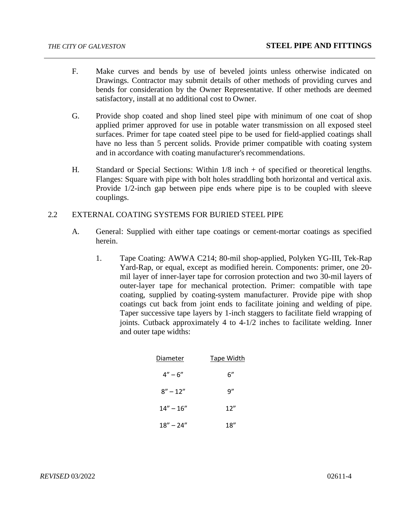- F. Make curves and bends by use of beveled joints unless otherwise indicated on Drawings. Contractor may submit details of other methods of providing curves and bends for consideration by the Owner Representative. If other methods are deemed satisfactory, install at no additional cost to Owner.
- G. Provide shop coated and shop lined steel pipe with minimum of one coat of shop applied primer approved for use in potable water transmission on all exposed steel surfaces. Primer for tape coated steel pipe to be used for field-applied coatings shall have no less than 5 percent solids. Provide primer compatible with coating system and in accordance with coating manufacturer's recommendations.
- H. Standard or Special Sections: Within 1/8 inch + of specified or theoretical lengths. Flanges: Square with pipe with bolt holes straddling both horizontal and vertical axis. Provide 1/2-inch gap between pipe ends where pipe is to be coupled with sleeve couplings.

#### 2.2 EXTERNAL COATING SYSTEMS FOR BURIED STEEL PIPE

- A. General: Supplied with either tape coatings or cement-mortar coatings as specified herein.
	- 1. Tape Coating: AWWA C214; 80-mil shop-applied, Polyken YG-III, Tek-Rap Yard-Rap, or equal, except as modified herein. Components: primer, one 20 mil layer of inner-layer tape for corrosion protection and two 30-mil layers of outer-layer tape for mechanical protection. Primer: compatible with tape coating, supplied by coating-system manufacturer. Provide pipe with shop coatings cut back from joint ends to facilitate joining and welding of pipe. Taper successive tape layers by 1-inch staggers to facilitate field wrapping of joints. Cutback approximately 4 to 4-1/2 inches to facilitate welding. Inner and outer tape widths:

| Diameter      | Tape Width |
|---------------|------------|
| $4'' - 6''$   | 6"         |
| $8'' - 12''$  | q"         |
| $14" - 16"$   | 12''       |
| $18'' - 24''$ | 18″        |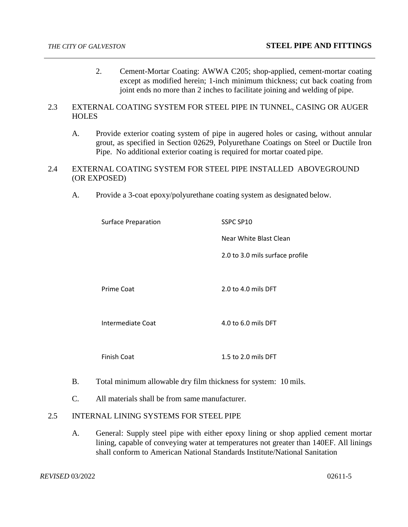- 2. Cement-Mortar Coating: AWWA C205; shop-applied, cement-mortar coating except as modified herein; 1-inch minimum thickness; cut back coating from joint ends no more than 2 inches to facilitate joining and welding of pipe.
- 2.3 EXTERNAL COATING SYSTEM FOR STEEL PIPE IN TUNNEL, CASING OR AUGER HOLES
	- A. Provide exterior coating system of pipe in augered holes or casing, without annular grout, as specified in Section 02629, Polyurethane Coatings on Steel or Ductile Iron Pipe. No additional exterior coating is required for mortar coated pipe.
- 2.4 EXTERNAL COATING SYSTEM FOR STEEL PIPE INSTALLED ABOVEGROUND (OR EXPOSED)
	- A. Provide a 3-coat epoxy/polyurethane coating system as designated below.

| <b>Surface Preparation</b> | SSPC SP10                       |  |
|----------------------------|---------------------------------|--|
|                            | Near White Blast Clean          |  |
|                            | 2.0 to 3.0 mils surface profile |  |
|                            |                                 |  |
| Prime Coat                 | 2.0 to 4.0 mils DFT             |  |
|                            |                                 |  |
| Intermediate Coat          | 4.0 to 6.0 mils DFT             |  |
|                            |                                 |  |
| <b>Finish Coat</b>         | 1.5 to 2.0 mils DFT             |  |

- B. Total minimum allowable dry film thickness for system: 10 mils.
- C. All materials shall be from same manufacturer.

# 2.5 INTERNAL LINING SYSTEMS FOR STEEL PIPE

A. General: Supply steel pipe with either epoxy lining or shop applied cement mortar lining, capable of conveying water at temperatures not greater than 140ΕF. All linings shall conform to American National Standards Institute/National Sanitation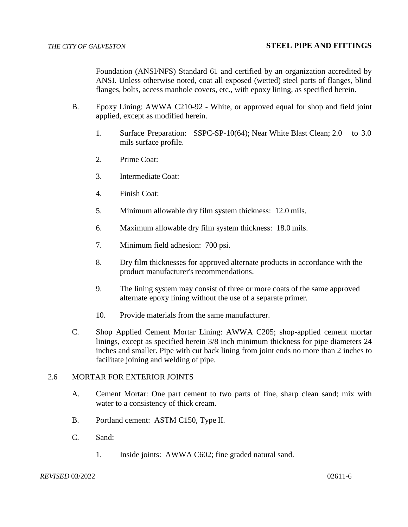Foundation (ANSI/NFS) Standard 61 and certified by an organization accredited by ANSI. Unless otherwise noted, coat all exposed (wetted) steel parts of flanges, blind flanges, bolts, access manhole covers, etc., with epoxy lining, as specified herein.

- B. Epoxy Lining: AWWA C210-92 White, or approved equal for shop and field joint applied, except as modified herein.
	- 1. Surface Preparation: SSPC-SP-10(64); Near White Blast Clean; 2.0 to 3.0 mils surface profile.
	- 2. Prime Coat:
	- 3. Intermediate Coat:
	- 4. Finish Coat:
	- 5. Minimum allowable dry film system thickness: 12.0 mils.
	- 6. Maximum allowable dry film system thickness: 18.0 mils.
	- 7. Minimum field adhesion: 700 psi.
	- 8. Dry film thicknesses for approved alternate products in accordance with the product manufacturer's recommendations.
	- 9. The lining system may consist of three or more coats of the same approved alternate epoxy lining without the use of a separate primer.
	- 10. Provide materials from the same manufacturer.
- C. Shop Applied Cement Mortar Lining: AWWA C205; shop-applied cement mortar linings, except as specified herein 3/8 inch minimum thickness for pipe diameters 24 inches and smaller. Pipe with cut back lining from joint ends no more than 2 inches to facilitate joining and welding of pipe.

# 2.6 MORTAR FOR EXTERIOR JOINTS

- A. Cement Mortar: One part cement to two parts of fine, sharp clean sand; mix with water to a consistency of thick cream.
- B. Portland cement: ASTM C150, Type II.
- C. Sand:
	- 1. Inside joints: AWWA C602; fine graded natural sand.

#### **REVISED** 03/2022 02611-6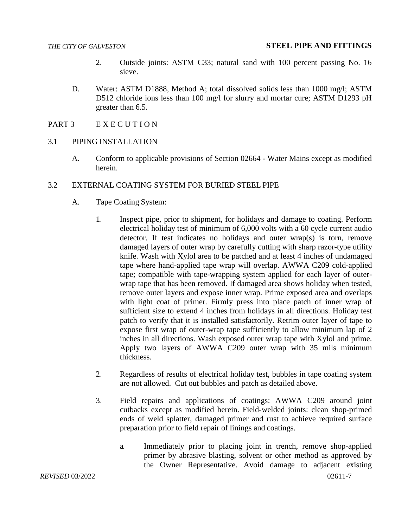- 2. Outside joints: ASTM C33; natural sand with 100 percent passing No. 16 sieve.
- D. Water: ASTM D1888, Method A; total dissolved solids less than 1000 mg/l; ASTM D512 chloride ions less than 100 mg/l for slurry and mortar cure; ASTM D1293 pH greater than 6.5.
- PART 3 EXECUTION
- 3.1 PIPING INSTALLATION
	- A. Conform to applicable provisions of Section 02664 Water Mains except as modified herein.
- 3.2 EXTERNAL COATING SYSTEM FOR BURIED STEEL PIPE
	- A. Tape Coating System:
		- 1. Inspect pipe, prior to shipment, for holidays and damage to coating. Perform electrical holiday test of minimum of 6,000 volts with a 60 cycle current audio detector. If test indicates no holidays and outer wrap(s) is torn, remove damaged layers of outer wrap by carefully cutting with sharp razor-type utility knife. Wash with Xylol area to be patched and at least 4 inches of undamaged tape where hand-applied tape wrap will overlap. AWWA C209 cold-applied tape; compatible with tape-wrapping system applied for each layer of outerwrap tape that has been removed. If damaged area shows holiday when tested, remove outer layers and expose inner wrap. Prime exposed area and overlaps with light coat of primer. Firmly press into place patch of inner wrap of sufficient size to extend 4 inches from holidays in all directions. Holiday test patch to verify that it is installed satisfactorily. Retrim outer layer of tape to expose first wrap of outer-wrap tape sufficiently to allow minimum lap of 2 inches in all directions. Wash exposed outer wrap tape with Xylol and prime. Apply two layers of AWWA C209 outer wrap with 35 mils minimum thickness.
		- 2. Regardless of results of electrical holiday test, bubbles in tape coating system are not allowed. Cut out bubbles and patch as detailed above.
		- 3. Field repairs and applications of coatings: AWWA C209 around joint cutbacks except as modified herein. Field-welded joints: clean shop-primed ends of weld splatter, damaged primer and rust to achieve required surface preparation prior to field repair of linings and coatings.
			- a. Immediately prior to placing joint in trench, remove shop-applied primer by abrasive blasting, solvent or other method as approved by the Owner Representative. Avoid damage to adjacent existing

*REVISED* 03/2022 02611-7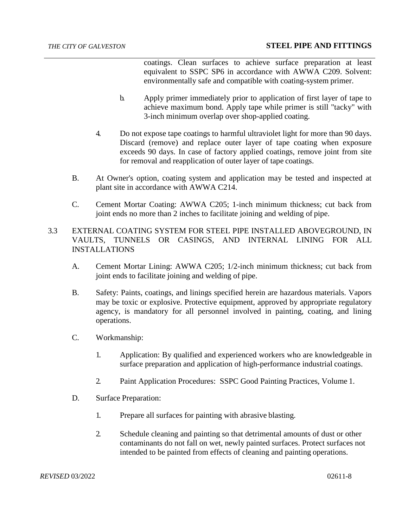coatings. Clean surfaces to achieve surface preparation at least equivalent to SSPC SP6 in accordance with AWWA C209. Solvent: environmentally safe and compatible with coating-system primer.

- b. Apply primer immediately prior to application of first layer of tape to achieve maximum bond. Apply tape while primer is still "tacky" with 3-inch minimum overlap over shop-applied coating.
- 4. Do not expose tape coatings to harmful ultraviolet light for more than 90 days. Discard (remove) and replace outer layer of tape coating when exposure exceeds 90 days. In case of factory applied coatings, remove joint from site for removal and reapplication of outer layer of tape coatings.
- B. At Owner's option, coating system and application may be tested and inspected at plant site in accordance with AWWA C214.
- C. Cement Mortar Coating: AWWA C205; 1-inch minimum thickness; cut back from joint ends no more than 2 inches to facilitate joining and welding of pipe.
- 3.3 EXTERNAL COATING SYSTEM FOR STEEL PIPE INSTALLED ABOVEGROUND, IN VAULTS, TUNNELS OR CASINGS, AND INTERNAL LINING FOR ALL INSTALLATIONS
	- A. Cement Mortar Lining: AWWA C205; 1/2-inch minimum thickness; cut back from joint ends to facilitate joining and welding of pipe.
	- B. Safety: Paints, coatings, and linings specified herein are hazardous materials. Vapors may be toxic or explosive. Protective equipment, approved by appropriate regulatory agency, is mandatory for all personnel involved in painting, coating, and lining operations.
	- C. Workmanship:
		- 1. Application: By qualified and experienced workers who are knowledgeable in surface preparation and application of high-performance industrial coatings.
		- 2. Paint Application Procedures: SSPC Good Painting Practices, Volume 1.
	- D. Surface Preparation:
		- 1. Prepare all surfaces for painting with abrasive blasting.
		- 2. Schedule cleaning and painting so that detrimental amounts of dust or other contaminants do not fall on wet, newly painted surfaces. Protect surfaces not intended to be painted from effects of cleaning and painting operations.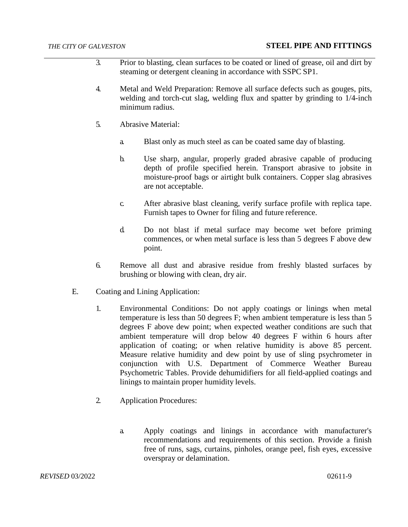- 3. Prior to blasting, clean surfaces to be coated or lined of grease, oil and dirt by steaming or detergent cleaning in accordance with SSPC SP1.
- 4. Metal and Weld Preparation: Remove all surface defects such as gouges, pits, welding and torch-cut slag, welding flux and spatter by grinding to 1/4-inch minimum radius.
- 5. Abrasive Material:
	- a. Blast only as much steel as can be coated same day of blasting.
	- b. Use sharp, angular, properly graded abrasive capable of producing depth of profile specified herein. Transport abrasive to jobsite in moisture-proof bags or airtight bulk containers. Copper slag abrasives are not acceptable.
	- c. After abrasive blast cleaning, verify surface profile with replica tape. Furnish tapes to Owner for filing and future reference.
	- d. Do not blast if metal surface may become wet before priming commences, or when metal surface is less than 5 degrees F above dew point.
- 6. Remove all dust and abrasive residue from freshly blasted surfaces by brushing or blowing with clean, dry air.
- E. Coating and Lining Application:
	- 1. Environmental Conditions: Do not apply coatings or linings when metal temperature is less than 50 degrees F; when ambient temperature is less than 5 degrees F above dew point; when expected weather conditions are such that ambient temperature will drop below 40 degrees F within 6 hours after application of coating; or when relative humidity is above 85 percent. Measure relative humidity and dew point by use of sling psychrometer in conjunction with U.S. Department of Commerce Weather Bureau Psychometric Tables. Provide dehumidifiers for all field-applied coatings and linings to maintain proper humidity levels.
	- 2. Application Procedures:
		- a. Apply coatings and linings in accordance with manufacturer's recommendations and requirements of this section. Provide a finish free of runs, sags, curtains, pinholes, orange peel, fish eyes, excessive overspray or delamination.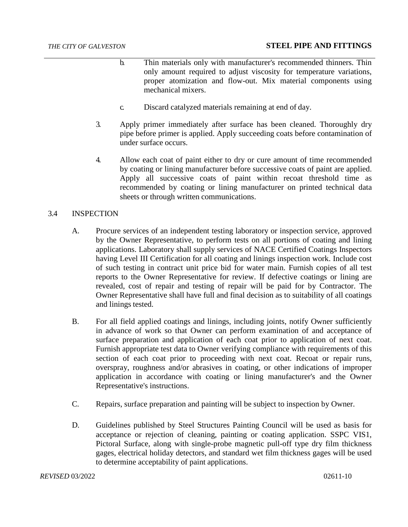- b. Thin materials only with manufacturer's recommended thinners. Thin only amount required to adjust viscosity for temperature variations, proper atomization and flow-out. Mix material components using mechanical mixers.
- c. Discard catalyzed materials remaining at end of day.
- 3. Apply primer immediately after surface has been cleaned. Thoroughly dry pipe before primer is applied. Apply succeeding coats before contamination of under surface occurs.
- 4. Allow each coat of paint either to dry or cure amount of time recommended by coating or lining manufacturer before successive coats of paint are applied. Apply all successive coats of paint within recoat threshold time as recommended by coating or lining manufacturer on printed technical data sheets or through written communications.

### 3.4 INSPECTION

- A. Procure services of an independent testing laboratory or inspection service, approved by the Owner Representative, to perform tests on all portions of coating and lining applications. Laboratory shall supply services of NACE Certified Coatings Inspectors having Level III Certification for all coating and linings inspection work. Include cost of such testing in contract unit price bid for water main. Furnish copies of all test reports to the Owner Representative for review. If defective coatings or lining are revealed, cost of repair and testing of repair will be paid for by Contractor. The Owner Representative shall have full and final decision as to suitability of all coatings and linings tested.
- B. For all field applied coatings and linings, including joints, notify Owner sufficiently in advance of work so that Owner can perform examination of and acceptance of surface preparation and application of each coat prior to application of next coat. Furnish appropriate test data to Owner verifying compliance with requirements of this section of each coat prior to proceeding with next coat. Recoat or repair runs, overspray, roughness and/or abrasives in coating, or other indications of improper application in accordance with coating or lining manufacturer's and the Owner Representative's instructions.
- C. Repairs, surface preparation and painting will be subject to inspection by Owner.
- D. Guidelines published by Steel Structures Painting Council will be used as basis for acceptance or rejection of cleaning, painting or coating application. SSPC VIS1, Pictoral Surface, along with single-probe magnetic pull-off type dry film thickness gages, electrical holiday detectors, and standard wet film thickness gages will be used to determine acceptability of paint applications.